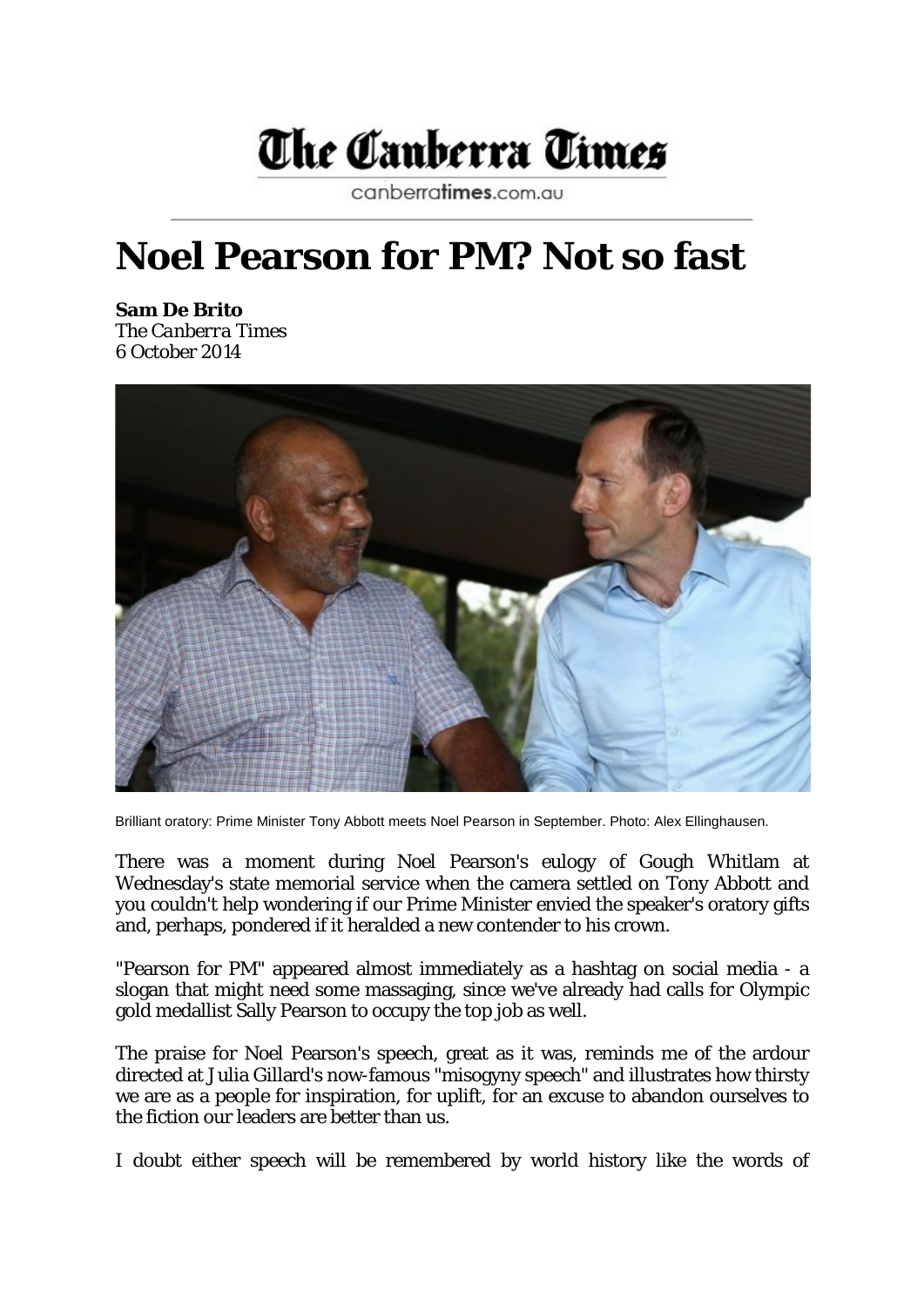

canberratimes.com.au

## **Noel Pearson for PM? Not so fast**

**Sam De Brito** The *Canberra Times* 6 October 2014



Brilliant oratory: Prime Minister Tony Abbott meets Noel Pearson in September. Photo: Alex Ellinghausen.

There was a moment during Noel Pearson's eulogy of Gough Whitlam at Wednesday's state memorial service when the camera settled on Tony Abbott and you couldn't help wondering if our Prime Minister envied the speaker's oratory gifts and, perhaps, pondered if it heralded a new contender to his crown.

"Pearson for PM" appeared almost immediately as a hashtag on social media - a slogan that might need some massaging, since we've already had calls for Olympic gold medallist Sally Pearson to occupy the top job as well.

The praise for Noel Pearson's speech, great as it was, reminds me of the ardour directed at Julia Gillard's now-famous "misogyny speech" and illustrates how thirsty we are as a people for inspiration, for uplift, for an excuse to abandon ourselves to the fiction our leaders are better than us.

I doubt either speech will be remembered by world history like the words of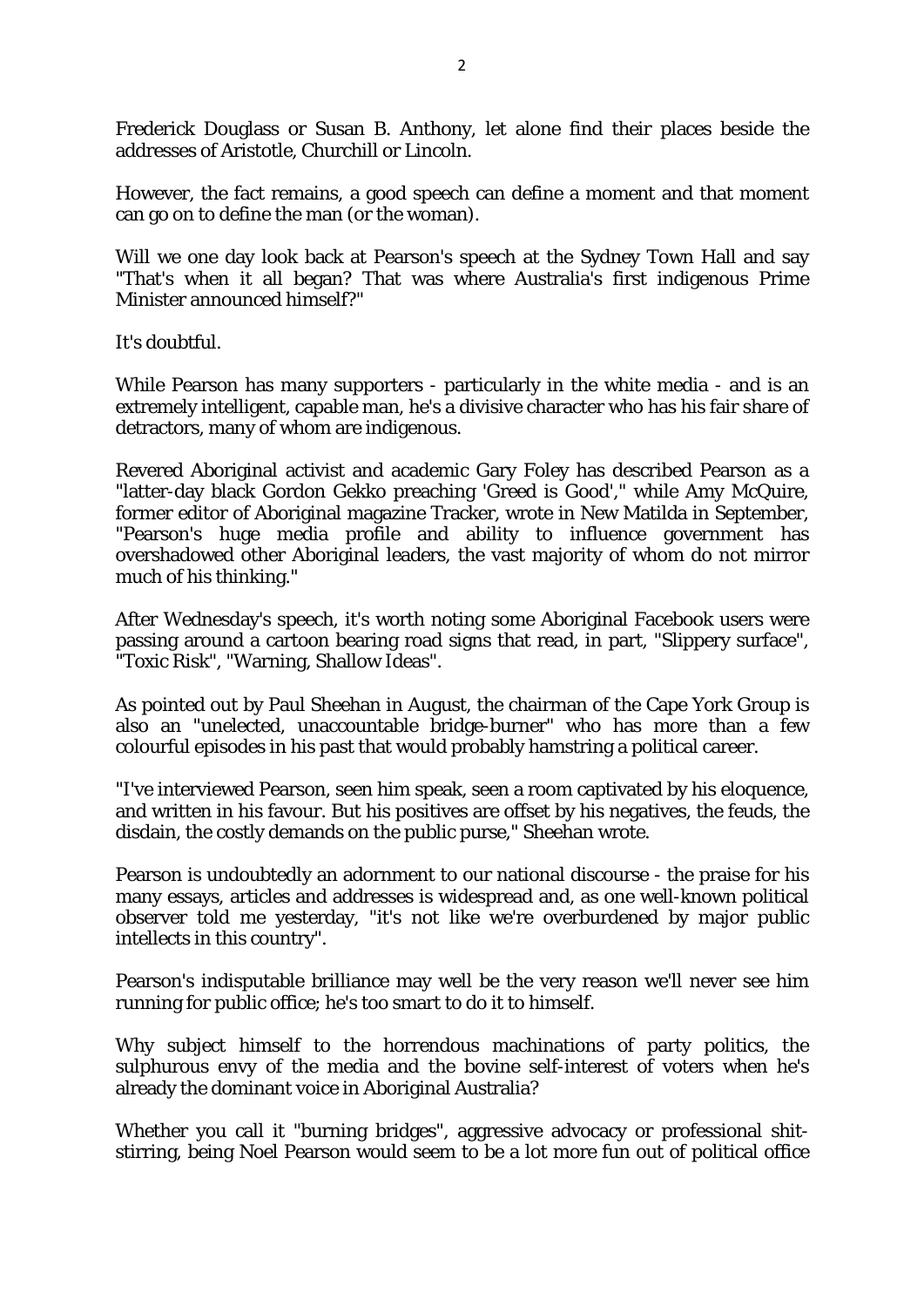Frederick Douglass or Susan B. Anthony, let alone find their places beside the addresses of Aristotle, Churchill or Lincoln.

However, the fact remains, a good speech can define a moment and that moment can go on to define the man (or the woman).

Will we one day look back at Pearson's speech at the Sydney Town Hall and say "That's when it all began? That was where Australia's first indigenous Prime Minister announced himself?"

It's doubtful.

While Pearson has many supporters - particularly in the white media - and is an extremely intelligent, capable man, he's a divisive character who has his fair share of detractors, many of whom are indigenous.

Revered Aboriginal activist and academic Gary Foley has described Pearson as a "latter-day black Gordon Gekko preaching 'Greed is Good'," while Amy McQuire, former editor of Aboriginal magazine Tracker, wrote in New Matilda in September, "Pearson's huge media profile and ability to influence government has overshadowed other Aboriginal leaders, the vast majority of whom do not mirror much of his thinking."

After Wednesday's speech, it's worth noting some Aboriginal Facebook users were passing around a cartoon bearing road signs that read, in part, "Slippery surface", "Toxic Risk", "Warning, Shallow Ideas".

As pointed out by Paul Sheehan in August, the chairman of the Cape York Group is also an "unelected, unaccountable bridge-burner" who has more than a few colourful episodes in his past that would probably hamstring a political career.

"I've interviewed Pearson, seen him speak, seen a room captivated by his eloquence, and written in his favour. But his positives are offset by his negatives, the feuds, the disdain, the costly demands on the public purse," Sheehan wrote.

Pearson is undoubtedly an adornment to our national discourse - the praise for his many essays, articles and addresses is widespread and, as one well-known political observer told me yesterday, "it's not like we're overburdened by major public intellects in this country".

Pearson's indisputable brilliance may well be the very reason we'll never see him running for public office; he's too smart to do it to himself.

Why subject himself to the horrendous machinations of party politics, the sulphurous envy of the media and the bovine self-interest of voters when he's already the dominant voice in Aboriginal Australia?

Whether you call it "burning bridges", aggressive advocacy or professional shitstirring, being Noel Pearson would seem to be a lot more fun out of political office